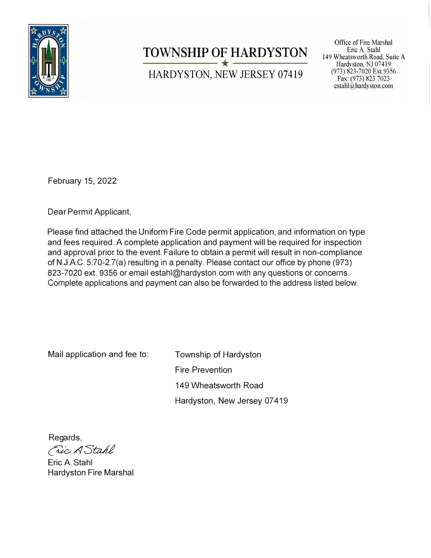

# **TOWNSHIP OF HARDYSTON** HARDYSTON, NEW JERSEY 07419

Office of Fire Marshal Eric A. Stahl 149 Wheatsworth Road, Suite A Hardyston, NJ 07419 (973) 823-7020 Ext.9356 Fax: (973) 823 7023 estahl $@$ hardyston.com

February 15, 2022

Dear Permit Applicant,

Please find attached the Uniform Fire Code permit application, and information on type and fees required. A complete application and payment will be required for inspection and approval prior to the event. Failure to obtain a permit will result in non-compliance of N.J.A.C. 5:70-2.7(a) resulting in a penalty. Please contact our office by phone (973) 823-7020 ext. 9356 or email estahl@hardyston.com with any questions or concerns. Complete applications and payment can also be forwarded to the address listed below.

Mail application and fee to:

Township of Hardyston Fire Prevention 149 Wheatsworth Road Hardyston, New Jersey 07 419

Regards,Fric A Stahl

Eric A. Stahl Hardyston Fire Marshal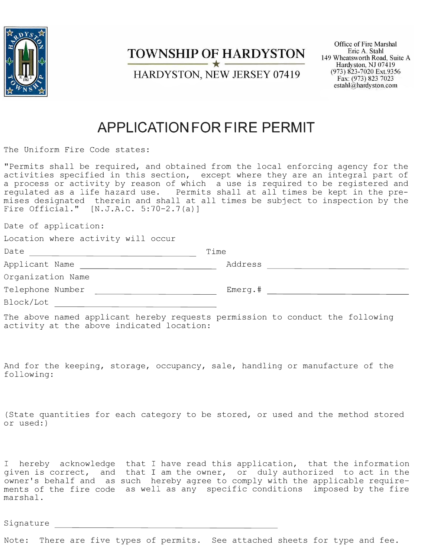

### **TOWNSHIP OF HARDYSTON**

HARDYSTON, NEW JERSEY 07419

Office of Fire Marshal Eric A. Stahl 149 Wheatsworth Road, Suite A Hardyston, NJ 07419 (973) 823-7020 Ext.9356 Fax: (973) 823 7023 estahl@hardyston.com

## **APPLICATION FOR FIRE PERMIT**

The Uniform Fire Code states:

"Permits shall be required, and obtained from the local enforcing agency for the activities specified in this section, except where they are an integral part of a process or activity by reason of which a use is required to be registered and regulated as a life hazard use. Permits shall at all times be kept in the premises designated therein and shall at all times be subject to inspection by the Fire Official." [N.J.A.C. 5:70-2.7(a)]

Date of application:

| Location where activity will occur |  |  |  |  |  |
|------------------------------------|--|--|--|--|--|
|------------------------------------|--|--|--|--|--|

| Date              | Time       |  |
|-------------------|------------|--|
| Applicant Name    | Address    |  |
| Organization Name |            |  |
| Telephone Number  | $Emerg.$ # |  |
| Block/Lot         |            |  |

The above named applicant hereby requests permission to conduct the following activity at the above indicated location:

And for the keeping, storage, occupancy, sale, handling or manufacture of the following:

(State quantities for each category to be stored, or used and the method stored or used:)

I hereby acknowledge that I have read this application, that the information given is correct, and owner's behalf and as ments of the fire code as well as any specific conditions imposed by the fire marshal. that I am the owner, or duly authorized to act in the such hereby agree to comply with the applicable require-

Signature

Note: There are five types of permits. See attached sheets for type and fee.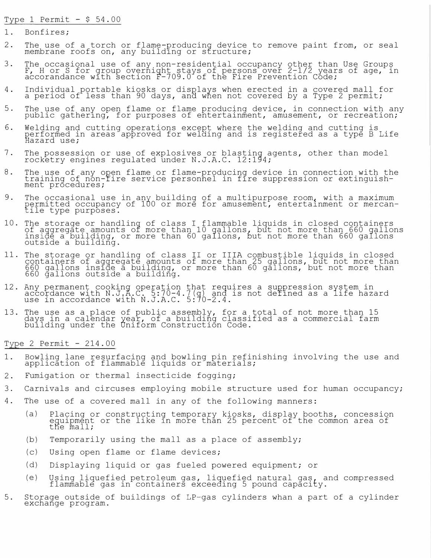Type 1 Permit  $-$  \$ 54.00

- 1. Bonfires;
- 2. The use of a torch or flame-producing device to remove paint from, or seal<br>membrane reefs on any building or atrusture: membrane roofs on, any building or structure;
- 3. The occasional use of any non-residential occupancy other than Use Groups<br>F, H or S for group overnight stays of persons over 2-1/2 years of age, in accorandance with section F-709.0 of the Fire Prevention Code;
- 4 . Individual portable kiosks or displays when erected in a covered mall for a period of less than 90 days, and when not covered by a Type 2 permit;
- 5. The use of any open flame or flame producing device, in connection with any<br>nublis sathering for purposes of ortertainment, amusement, ar respection: public gathering, for purposes of entertainment, amusement, or recreation;
- 6. Welding and cutting operations except where the welding and cutting is performed in areas approved for welding and is registered as a type B Life<br>Hazard use<mark>;</mark>
- 7. The possession or use of explosives or blasting agents, other than model rocketry engines regulated under N.J.A.C. 12:194;
- 8. The use of any open flame or flame-producing device in connection with the<br>training of non-tire convice personnel in fire suppression or extinguish training of non-fire service personnel in fire suppression or extinguish-<br>ment precedures: ment prócedures;
- 9. The occasional use in any building of a multipurpose room, with a maximum permitted occupancy of 100 or more for amusement, entertainment or mercantile type purposes.
- 10. The storage or handling of class I flammable liquids in closed containers of aggregate amounts of more than 10 gallons, but not more than 660 gallons inside a building, or more than 60 gallons, out not more than 660 gallons outside a building.
- 11. The storage or handling of class II or IIIA combustible liquids in closed containers of aggregate amounts of more than 25 gallons, but not more than 660 gallons inside a building, or more than 60 gallons, but not more than 660 gallons outside a building.
- 12. Any permanent cooking operation that requires a suppression system in accordance with N.J:A.C. 5:70-4.7(g) and is not deYined as a life hazard use in accordance with N.J.A.C. 5:70-2.4.
- 13. The use as a place of public assembly, for a total of not more than 15 days in a calendar year, of a building classified as a commercial farm building under the Oniform Construction Code.

Type  $2$  Permit -  $214.00$ 

- 1. Bowling lane resurfacing and bowling pin refinishing involving the use and application of flammable liquids or materials;
- 2. Fumigation or thermal insecticide fogging;
- 3. Carnivals and circuses employing mobile structure used for human occupancy;
- 4. The use of a covered mall in any of the following manners:
	- (a) Placing or constructing temporary kiosks, display booths, concession equipment or the like in more than 25 percent of the common area of<br>the mall;
	- (b) Temporarily using the mall as a place of assembly;
	- $(C)$ Using open flame or flame devices;
	- $(d)$ Displaying liquid or gas fueled powered equipment; or
	- $(e)$ Using liquefied petroleum gas, liquefied natural gas, and compressed flammable gas in containers exceeding 5 pound capacity.
- 5. Storage outside of buildings of LP-gas cylinders whan a part of a cylinder exchange program.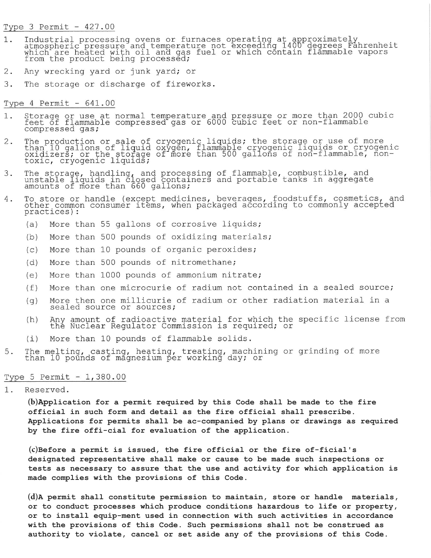#### Type 3 Permit -  $427.00$

- Industrial processing ovens or furnaces operating at approximately<br>atmospheric pressure and temperature not exceeding 1400 degrees Fahrenheit<br>which are heated with oil and gas fuel or which contain flammable vapors<br>from th  $1$ .
- $2$ . Any wrecking yard or junk yard; or
- $3.$ The storage or discharge of fireworks.

Type  $4$  Permit -  $641.00$ 

- Storage or use at normal temperature and pressure or more than 2000 cubic<br>feet of flammable compressed gas or 6000 cubic feet or non-flammable 1. compressed gas;
- The production or sale of cryogenic liquids; the storage or use of more<br>than 10 gallons of liquid oxygen, flammable cryogenic liquids or cryogenic<br>oxidizers; or the storage of more than 500 gallons of non-flammable, non-<br>t  $2.$
- The storage, handling, and processing of flammable, combustible, and unstable liquids in closed containers and portable tanks in aggregate amounts of more than 660 gallons;  $3.$
- To store or handle (except medicines, beverages, foodstuffs, cosmetics, and other common consumer items, when packaged according to commonly accepted practices): 4.
	- $(a)$ More than 55 gallons of corrosive liquids;
	- More than 500 pounds of oxidizing materials;  $(b)$
	- More than 10 pounds of organic peroxides;  $(C)$
	- More than 500 pounds of nitromethane;  $(d)$
	- More than 1000 pounds of ammonium nitrate;  $(e)$
	- More than one microcurie of radium not contained in a sealed source;  $(f)$
	- More then one millicurie of radium or other radiation material in a  $(q)$ sealed source or sources;
	- Any amount of radioactive material for which the specific license from<br>the Nuclear Regulator Commission is required; or  $(h)$
	- More than 10 pounds of flammable solids.  $(i)$
- The melting, casting, heating, treating, machining or grinding of more than 10 pounds of magnesium per working day; or 5.

### Type 5 Permit - 1,380.00

Reserved.  $1.$ 

> (b)Application for a permit required by this Code shall be made to the fire official in such form and detail as the fire official shall prescribe. Applications for permits shall be ac-companied by plans or drawings as required by the fire offi-cial for evaluation of the application.

> $(c)$ Before a permit is issued, the fire official or the fire of-ficial's designated representative shall make or cause to be made such inspections or tests as necessary to assure that the use and activity for which application is made complies with the provisions of this Code.

> $(d)$ A permit shall constitute permission to maintain, store or handle materials, or to conduct processes which produce conditions hazardous to life or property, or to install equip-ment used in connection with such activities in accordance with the provisions of this Code. Such permissions shall not be construed as authority to violate, cancel or set aside any of the provisions of this Code.